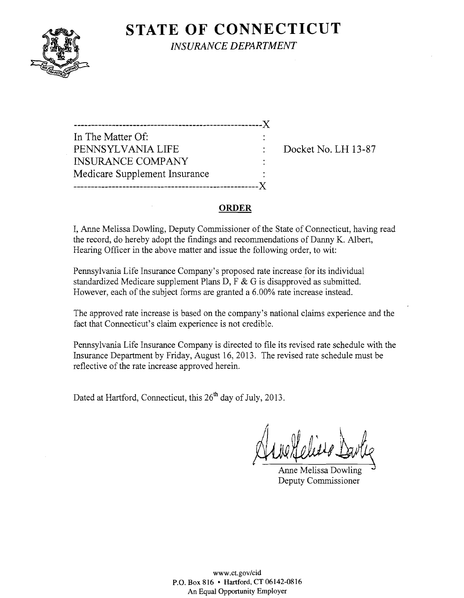# **STATE OF CONNECTICUT**



*INSURANCE DEPARTMENT* 

------------------------------------------------------)( In The Matter Of: PENNSYLVANIA LIFE : Docket No. LH 13-87 INSURANCE COMPANY Medicare Supplement Insurance -----------------------------------------------------)(

#### **ORDER**

I, Anne Melissa Dowling, Deputy Commissioner of the State of Connecticut, having read the record, do hereby adopt the findings and recommendations of Danny K. Albert, Hearing Officer in the above matter and issue the following order, to wit:

Pennsylvania Life Insurance Company's proposed rate increase for its individual standardized Medicare supplement Plans D, F & G is disapproved as submitted. However, each of the subject forms are granted a 6.00% rate increase instead.

The approved rate increase is based on the company's national claims experience and the fact that Connecticut's claim experience is not credible.

Pennsylvania Life Insurance Company is directed to file its revised rate schedule with the Insurance Department by Friday, August 16,2013. The revised rate schedule must be reflective of the rate increase approved herein.

Dated at Hartford, Connecticut, this 26<sup>th</sup> day of July, 2013.

/, Aux Meliers Davie

Deputy Commissioner

www.ct.gov/cid P.O. Box 816 • Hartford, CT 06142-0816 An Equal Opportunity Employer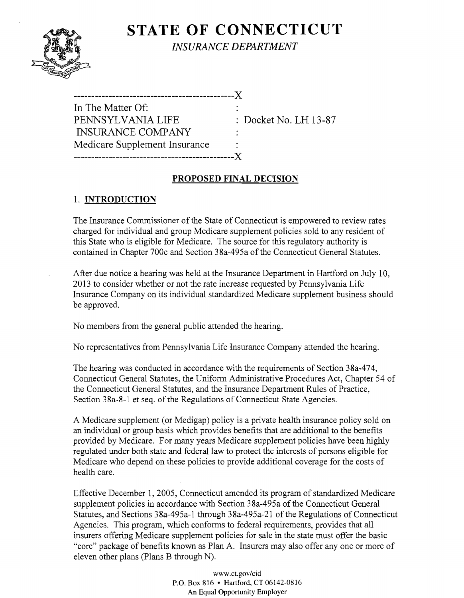## **STATE OF CONNECTICUT** *INSURANCE DEPARTMENT*

| In The Matter Of:             |            |  |
|-------------------------------|------------|--|
| PENNSYLVANIA LIFE             | $\colon$ : |  |
| <b>INSURANCE COMPANY</b>      |            |  |
| Medicare Supplement Insurance |            |  |
| ---------------------------   | $-X$       |  |
|                               |            |  |

: Docket No. LH 13-87

#### PROPOSED FINAL DECISION

### 1. INTRODUCTION

The Insurance Commissioner of the State of Connecticut is empowered to review rates charged for individual and group Medicare supplement policies sold to any resident of this State who is eligible for Medicare. The source for this regulatory authority is contained in Chapter 700c and Section 38a-495a of the Connecticut General Statutes.

After due notice a hearing was held at the Insurance Department in Hartford on July 10, 2013 to consider whether or not the rate increase requested by Pennsylvania Life Insurance Company on its individual standardized Medicare supplement business should be approved.

No members from the general public attended the hearing.

No representatives from Pennsylvania Life Insurance Company attended the hearing.

The hearing was conducted in accordance with the requirements of Section 38a-474, Connecticut General Statutes, the Uniform Administrative Procedures Act, Chapter 54 of the Connecticut General Statutes, and the Insurance Department Rules of Practice, Section 38a-8-1 et seq. of the Regulations of Connecticut State Agencies.

A Medicare supplement (or Medigap) policy is a private health insurance policy sold on an individual or group basis which provides benefits that are additional to the benefits provided by Medicare. For many years Medicare supplement policies have been highly regulated under both state and federal law to protect the interests of persons eligible for Medicare who depend on these policies to provide additional coverage for the costs of health care.

Effective December 1, 2005, Connecticut amended its program of standardized Medicare supplement policies in accordance with Section 38a-495a of the Connecticut General Statutes, and Sections 38a-495a-1 through 38a-495a-21 of the Regulations of Connecticut Agencies. This program, which conforms to federal requirements, provides that all insurers offering Medicare supplement policies for sale in the state must offer the basic "core" package of benefits known as Plan A. Insurers may also offer anyone or more of eleven other plans (Plans B through N).

> www.ct.gov/cid P.O. Box 816 • Hartford, CT 06142-0816 An Equal Opportunity Employer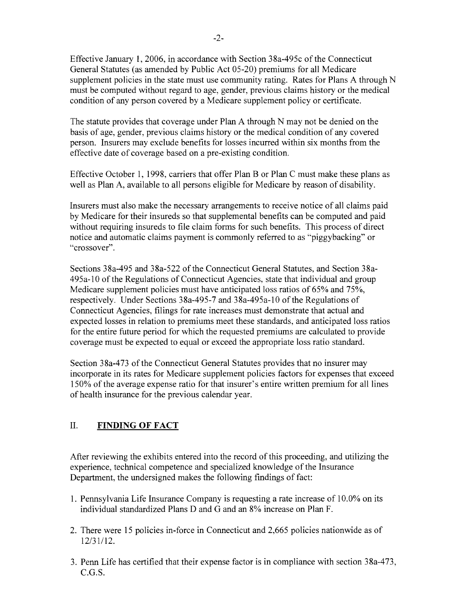Effective January 1,2006, in accordance with Section 38a-495c of the Connecticut General Statutes (as amended by Public Act 05-20) premiums for all Medicare supplement policies in the state must use community rating. Rates for Plans A through N must be computed without regard to age, gender, previous claims history or the medical condition of any person covered by a Medicare supplement policy or certificate.

The statute provides that coverage under Plan A through N may not be denied on the basis of age, gender, previous claims history or the medical condition of any covered person. Insurers may exclude benefits for losses incurred within six months from the effective date of coverage based on a pre-existing condition.

Effective October 1, 1998, carriers that offer Plan B or Plan C must make these plans as well as Plan A, available to all persons eligible for Medicare by reason of disability.

Insurers must also make the necessary arrangements to receive notice of all claims paid by Medicare for their insureds so that supplemental benefits can be computed and paid without requiring insureds to file claim forms for such benefits. This process of direct notice and automatic claims payment is commonly referred to as "piggybacking" or "crossover".

Sections 38a-495 and 38a-522 of the Connecticut General Statutes, and Section 38a-495a-l0 of the Regulations of Connecticut Agencies, state that individual and group Medicare supplement policies must have anticipated loss ratios of 65% and 75%, respectively. Under Sections 38a-495-7 and 38a-495a-l 0 of the Regulations of Connecticut Agencies, filings for rate increases must demonstrate that actual and expected losses in relation to premiums meet these standards, and anticipated loss ratios for the entire future period for which the requested premiums are calculated to provide coverage must be expected to equal or exceed the appropriate loss ratio standard.

Section 38a-473 of the Connecticut General Statutes provides that no insurer may incorporate in its rates for Medicare supplement policies factors for expenses that exceed 150% of the average expense ratio for that insurer's entire written premium for all lines of health insurance for the previous calendar year.

### II. **FINDING OF FACT**

After reviewing the exhibits entered into the record of this proceeding, and utilizing the experience, technical competence and specialized knowledge of the Insurance Department, the undersigned makes the following findings of fact:

- 1. Pennsylvania Life Insurance Company is requesting a rate increase of 10.0% on its individual standardized Plans D and G and an 8% increase on Plan F.
- 2. There were 15 policies in-force in Connecticut and 2,665 policies nationwide as of 12/31/12.
- 3. Penn Life has certified that their expense factor is in compliance with section 38a-473, C.G.S.